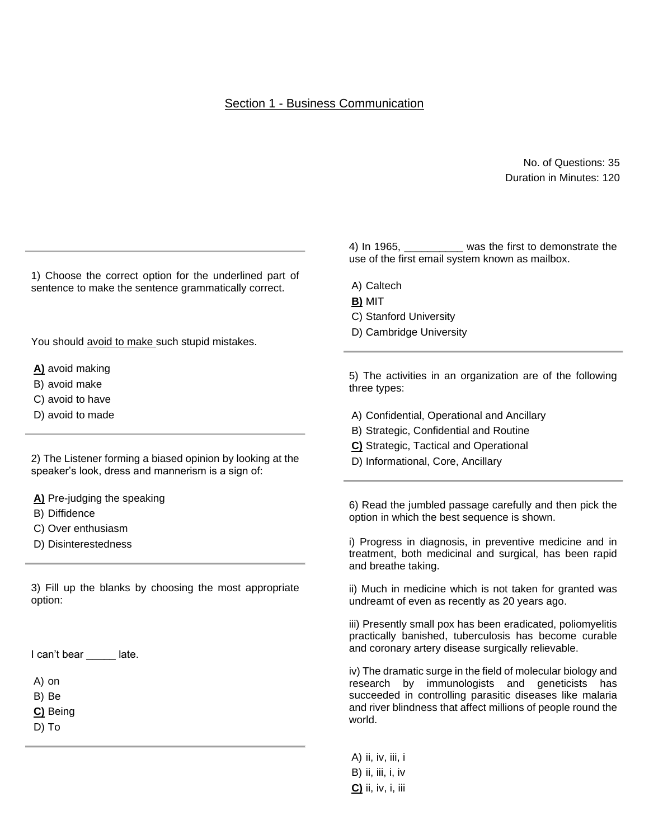## No. of Questions: 35 Duration in Minutes: 120

1) Choose the correct option for the underlined part of sentence to make the sentence grammatically correct.

You should avoid to make such stupid mistakes.

**A)** avoid making

- B) avoid make
- C) avoid to have
- D) avoid to made

2) The Listener forming a biased opinion by looking at the speaker's look, dress and mannerism is a sign of:

**A)** Pre-judging the speaking

- B) Diffidence
- C) Over enthusiasm
- D) Disinterestedness

3) Fill up the blanks by choosing the most appropriate option:

I can't bear late.

A) on

B) Be

**C)** Being

D) To

4) In 1965, \_\_\_\_\_\_\_\_\_\_ was the first to demonstrate the use of the first email system known as mailbox.

- A) Caltech
- **B)** MIT
- C) Stanford University
- D) Cambridge University

5) The activities in an organization are of the following three types:

- A) Confidential, Operational and Ancillary
- B) Strategic, Confidential and Routine
- **C)** Strategic, Tactical and Operational
- D) Informational, Core, Ancillary

6) Read the jumbled passage carefully and then pick the option in which the best sequence is shown.

i) Progress in diagnosis, in preventive medicine and in treatment, both medicinal and surgical, has been rapid and breathe taking.

ii) Much in medicine which is not taken for granted was undreamt of even as recently as 20 years ago.

iii) Presently small pox has been eradicated, poliomyelitis practically banished, tuberculosis has become curable and coronary artery disease surgically relievable.

iv) The dramatic surge in the field of molecular biology and research by immunologists and geneticists has succeeded in controlling parasitic diseases like malaria and river blindness that affect millions of people round the world.

A) ii, iv, iii, i B) ii, iii, i, iv **C)** ii, iv, i, iii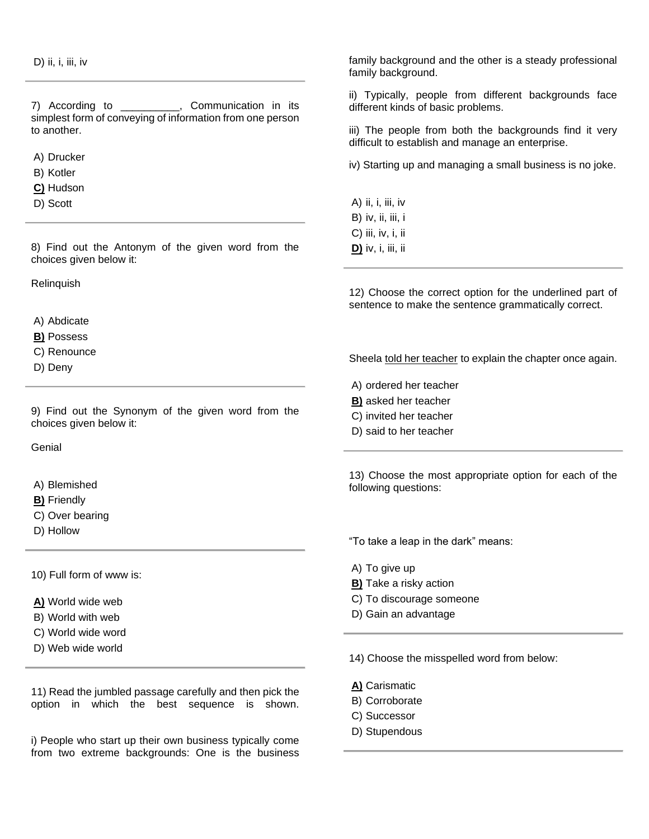7) According to \_\_\_\_\_\_\_\_\_\_, Communication in its simplest form of conveying of information from one person to another.

A) Drucker

- B) Kotler
- **C)** Hudson
- D) Scott

8) Find out the Antonym of the given word from the choices given below it:

Relinquish

A) Abdicate

- **B)** Possess
- C) Renounce
- D) Deny

9) Find out the Synonym of the given word from the choices given below it:

**Genial** 

- A) Blemished
- **B)** Friendly
- C) Over bearing
- D) Hollow

10) Full form of www is:

**A)** World wide web

- B) World with web
- C) World wide word
- D) Web wide world

11) Read the jumbled passage carefully and then pick the option in which the best sequence is shown.

i) People who start up their own business typically come from two extreme backgrounds: One is the business

family background and the other is a steady professional family background.

ii) Typically, people from different backgrounds face different kinds of basic problems.

iii) The people from both the backgrounds find it very difficult to establish and manage an enterprise.

iv) Starting up and managing a small business is no joke.

A) ii, i, iii, iv B) iv, ii, iii, i C) iii, iv, i, ii **D)** iv, i, iii, ii

12) Choose the correct option for the underlined part of sentence to make the sentence grammatically correct.

Sheela told her teacher to explain the chapter once again.

A) ordered her teacher

- **B)** asked her teacher
- C) invited her teacher
- D) said to her teacher

13) Choose the most appropriate option for each of the following questions:

"To take a leap in the dark" means:

- A) To give up
- **B)** Take a risky action
- C) To discourage someone
- D) Gain an advantage

14) Choose the misspelled word from below:

- **A)** Carismatic
- B) Corroborate
- C) Successor
- D) Stupendous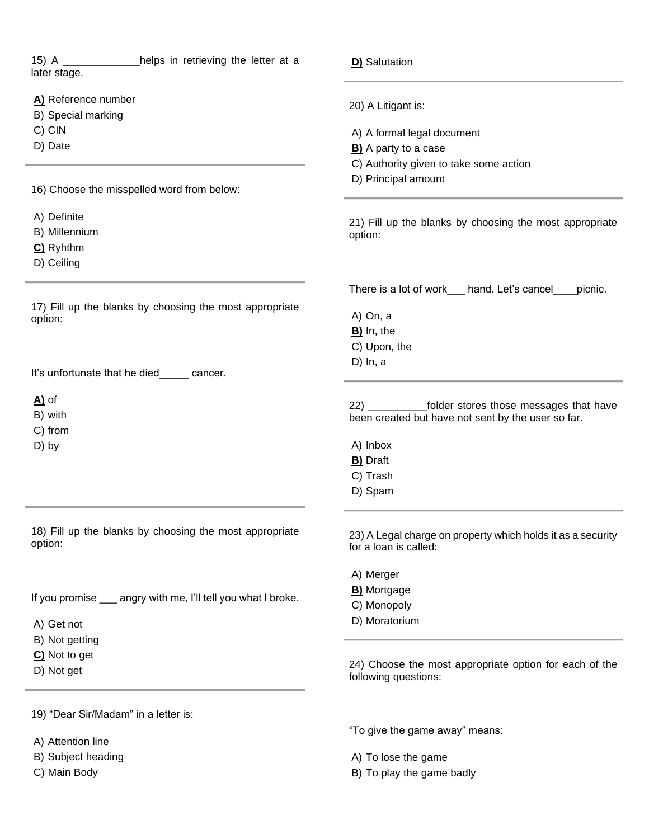| 15) A _____________helps in retrieving the letter at a<br>later stage. | D) Salutation                                                                        |  |  |
|------------------------------------------------------------------------|--------------------------------------------------------------------------------------|--|--|
| A) Reference number                                                    | 20) A Litigant is:                                                                   |  |  |
| B) Special marking                                                     |                                                                                      |  |  |
| C) CIN                                                                 | A) A formal legal document                                                           |  |  |
| D) Date                                                                | <b>B)</b> A party to a case                                                          |  |  |
|                                                                        | C) Authority given to take some action                                               |  |  |
|                                                                        | D) Principal amount                                                                  |  |  |
| 16) Choose the misspelled word from below:                             |                                                                                      |  |  |
| A) Definite                                                            | 21) Fill up the blanks by choosing the most appropriate                              |  |  |
| B) Millennium                                                          | option:                                                                              |  |  |
| C) Ryhthm                                                              |                                                                                      |  |  |
| D) Ceiling                                                             |                                                                                      |  |  |
|                                                                        | There is a lot of work ___ hand. Let's cancel ___<br>picnic.                         |  |  |
| 17) Fill up the blanks by choosing the most appropriate<br>option:     | A) On, a                                                                             |  |  |
|                                                                        | B) In, the                                                                           |  |  |
|                                                                        | C) Upon, the                                                                         |  |  |
|                                                                        | $D)$ In, a                                                                           |  |  |
| It's unfortunate that he died_____ cancer.                             |                                                                                      |  |  |
| $A)$ of                                                                | 22) ____________folder stores those messages that have                               |  |  |
| B) with                                                                | been created but have not sent by the user so far.                                   |  |  |
| C) from                                                                |                                                                                      |  |  |
| D) by                                                                  | A) Inbox                                                                             |  |  |
|                                                                        | <b>B)</b> Draft                                                                      |  |  |
|                                                                        | C) Trash                                                                             |  |  |
|                                                                        | D) Spam                                                                              |  |  |
| 18) Fill up the blanks by choosing the most appropriate<br>option:     | 23) A Legal charge on property which holds it as a security<br>for a loan is called: |  |  |
|                                                                        | A) Merger                                                                            |  |  |
|                                                                        | <b>B)</b> Mortgage                                                                   |  |  |
| If you promise ___ angry with me, I'll tell you what I broke.          | C) Monopoly                                                                          |  |  |
|                                                                        | D) Moratorium                                                                        |  |  |
| A) Get not                                                             |                                                                                      |  |  |
| B) Not getting                                                         |                                                                                      |  |  |
| C) Not to get                                                          | 24) Choose the most appropriate option for each of the                               |  |  |
| D) Not get                                                             | following questions:                                                                 |  |  |
| 19) "Dear Sir/Madam" in a letter is:                                   |                                                                                      |  |  |
|                                                                        | "To give the game away" means:                                                       |  |  |
|                                                                        |                                                                                      |  |  |
| A) Attention line                                                      |                                                                                      |  |  |
| B) Subject heading                                                     | A) To lose the game                                                                  |  |  |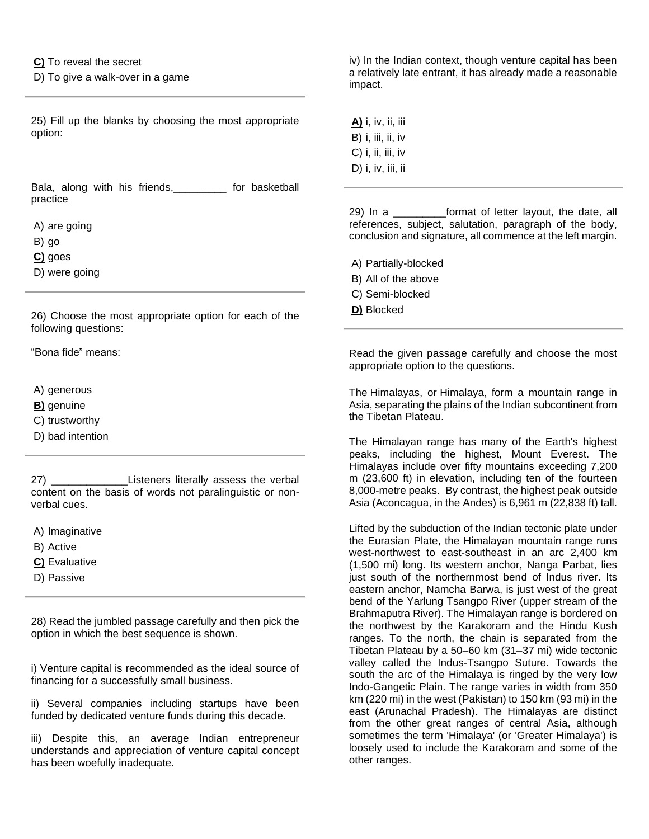**C)** To reveal the secret

D) To give a walk-over in a game

25) Fill up the blanks by choosing the most appropriate option:

Bala, along with his friends,\_\_\_\_\_\_\_\_\_ for basketball practice

A) are going

B) go

**C)** goes

D) were going

26) Choose the most appropriate option for each of the following questions:

"Bona fide" means:

A) generous

**B)** genuine

C) trustworthy

D) bad intention

27) \_\_\_\_\_\_\_\_\_\_\_\_\_Listeners literally assess the verbal content on the basis of words not paralinguistic or nonverbal cues.

A) Imaginative

B) Active

**C)** Evaluative

D) Passive

28) Read the jumbled passage carefully and then pick the option in which the best sequence is shown.

i) Venture capital is recommended as the ideal source of financing for a successfully small business.

ii) Several companies including startups have been funded by dedicated venture funds during this decade.

iii) Despite this, an average Indian entrepreneur understands and appreciation of venture capital concept has been woefully inadequate.

iv) In the Indian context, though venture capital has been a relatively late entrant, it has already made a reasonable impact.

**A)** i, iv, ii, iii B) i, iii, ii, iv  $C$ ) i, ii, iii, iv D) i, iv, iii, ii

29) In a \_\_\_\_\_\_\_\_\_format of letter layout, the date, all references, subject, salutation, paragraph of the body, conclusion and signature, all commence at the left margin.

- A) Partially-blocked
- B) All of the above
- C) Semi-blocked
- **D)** Blocked

Read the given passage carefully and choose the most appropriate option to the questions.

The Himalayas, or Himalaya, form a mountain range in Asia, separating the plains of the Indian subcontinent from the Tibetan Plateau.

The Himalayan range has many of the Earth's highest peaks, including the highest, Mount Everest. The Himalayas include over fifty mountains exceeding 7,200 m (23,600 ft) in elevation, including ten of the fourteen 8,000-metre peaks. By contrast, the highest peak outside Asia (Aconcagua, in the Andes) is 6,961 m (22,838 ft) tall.

Lifted by the subduction of the Indian tectonic plate under the Eurasian Plate, the Himalayan mountain range runs west-northwest to east-southeast in an arc 2,400 km (1,500 mi) long. Its western anchor, Nanga Parbat, lies just south of the northernmost bend of Indus river. Its eastern anchor, Namcha Barwa, is just west of the great bend of the Yarlung Tsangpo River (upper stream of the Brahmaputra River). The Himalayan range is bordered on the northwest by the Karakoram and the Hindu Kush ranges. To the north, the chain is separated from the Tibetan Plateau by a 50–60 km (31–37 mi) wide tectonic valley called the Indus-Tsangpo Suture. Towards the south the arc of the Himalaya is ringed by the very low Indo-Gangetic Plain. The range varies in width from 350 km (220 mi) in the west (Pakistan) to 150 km (93 mi) in the east (Arunachal Pradesh). The Himalayas are distinct from the other great ranges of central Asia, although sometimes the term 'Himalaya' (or 'Greater Himalaya') is loosely used to include the Karakoram and some of the other ranges.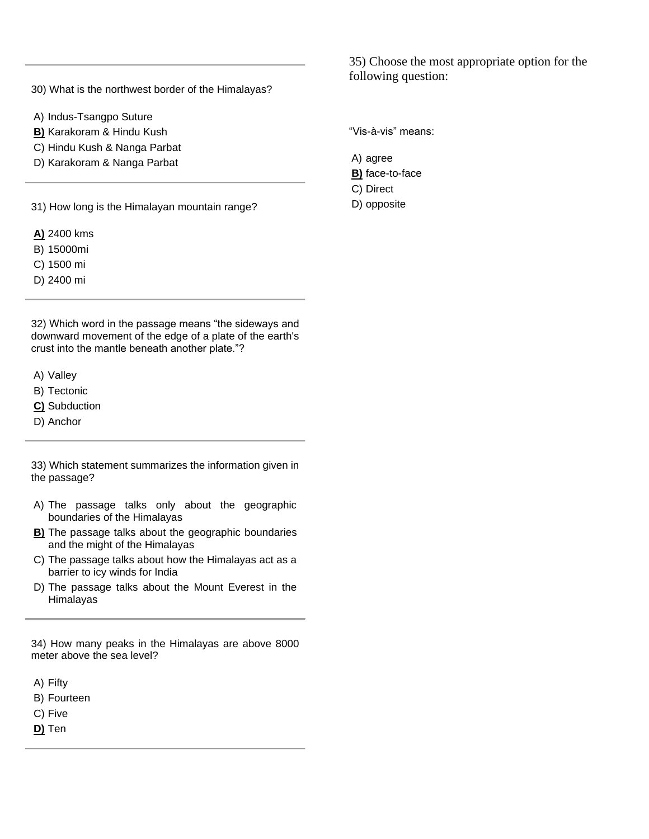30) What is the northwest border of the Himalayas?

- A) Indus-Tsangpo Suture
- **B)** Karakoram & Hindu Kush
- C) Hindu Kush & Nanga Parbat
- D) Karakoram & Nanga Parbat

31) How long is the Himalayan mountain range?

- **A)** 2400 kms
- B) 15000mi
- C) 1500 mi
- D) 2400 mi

32) Which word in the passage means "the sideways and downward movement of the edge of a plate of the earth's crust into the mantle beneath another plate."?

- A) Valley
- B) Tectonic
- **C)** Subduction
- D) Anchor

33) Which statement summarizes the information given in the passage?

- A) The passage talks only about the geographic boundaries of the Himalayas
- **B)** The passage talks about the geographic boundaries and the might of the Himalayas
- C) The passage talks about how the Himalayas act as a barrier to icy winds for India
- D) The passage talks about the Mount Everest in the Himalayas

34) How many peaks in the Himalayas are above 8000 meter above the sea level?

- A) Fifty
- B) Fourteen
- C) Five
- **D)** Ten

35) Choose the most appropriate option for the following question:

"Vis-à-vis" means:

- A) agree **B)** face-to-face
- C) Direct
- D) opposite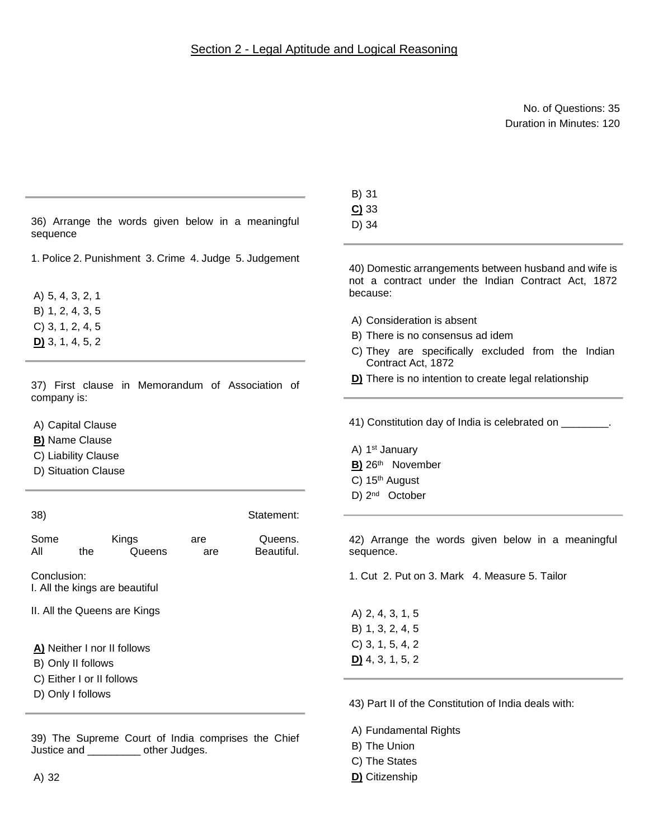No. of Questions: 35 Duration in Minutes: 120

|                                                                                                                                            | B) 31                                                                                                                                                                                                                                          |
|--------------------------------------------------------------------------------------------------------------------------------------------|------------------------------------------------------------------------------------------------------------------------------------------------------------------------------------------------------------------------------------------------|
| 36) Arrange the words given below in a meaningful<br>sequence                                                                              | $C$ ) 33<br>D) 34                                                                                                                                                                                                                              |
| 1. Police 2. Punishment 3. Crime 4. Judge 5. Judgement<br>A) 5, 4, 3, 2, 1<br>B) 1, 2, 4, 3, 5<br>$C$ ) 3, 1, 2, 4, 5<br>$D$ 3, 1, 4, 5, 2 | 40) Domestic arrangements between husband and wife is<br>not a contract under the Indian Contract Act, 1872<br>because:<br>A) Consideration is absent<br>B) There is no consensus ad idem<br>C) They are specifically excluded from the Indian |
| 37) First clause in Memorandum of Association of<br>company is:                                                                            | Contract Act, 1872<br>D) There is no intention to create legal relationship                                                                                                                                                                    |
| A) Capital Clause<br><b>B)</b> Name Clause<br>C) Liability Clause<br>D) Situation Clause                                                   | 41) Constitution day of India is celebrated on ________.<br>A) 1 <sup>st</sup> January<br>B) 26th November<br>C) 15 <sup>th</sup> August                                                                                                       |
| 38)<br>Statement:                                                                                                                          | D) 2 <sup>nd</sup> October                                                                                                                                                                                                                     |
| Some<br>Queens.<br>Kings<br>are<br>Beautiful.<br>All<br>Queens<br>the<br>are                                                               | 42) Arrange the words given below in a meaningful<br>sequence.                                                                                                                                                                                 |
| Conclusion:<br>I. All the kings are beautiful                                                                                              | 1. Cut 2. Put on 3. Mark 4. Measure 5. Tailor                                                                                                                                                                                                  |
| II. All the Queens are Kings<br>A) Neither I nor II follows<br>B) Only II follows                                                          | A) 2, 4, 3, 1, 5<br>B) 1, 3, 2, 4, 5<br>$C$ ) 3, 1, 5, 4, 2<br>$D$ 4, 3, 1, 5, 2                                                                                                                                                               |
| C) Either I or II follows<br>D) Only I follows                                                                                             | 43) Part II of the Constitution of India deals with:                                                                                                                                                                                           |
| 39) The Supreme Court of India comprises the Chief<br>Justice and __________ other Judges.                                                 | A) Fundamental Rights<br>B) The Union                                                                                                                                                                                                          |

C) The States **D)** Citizenship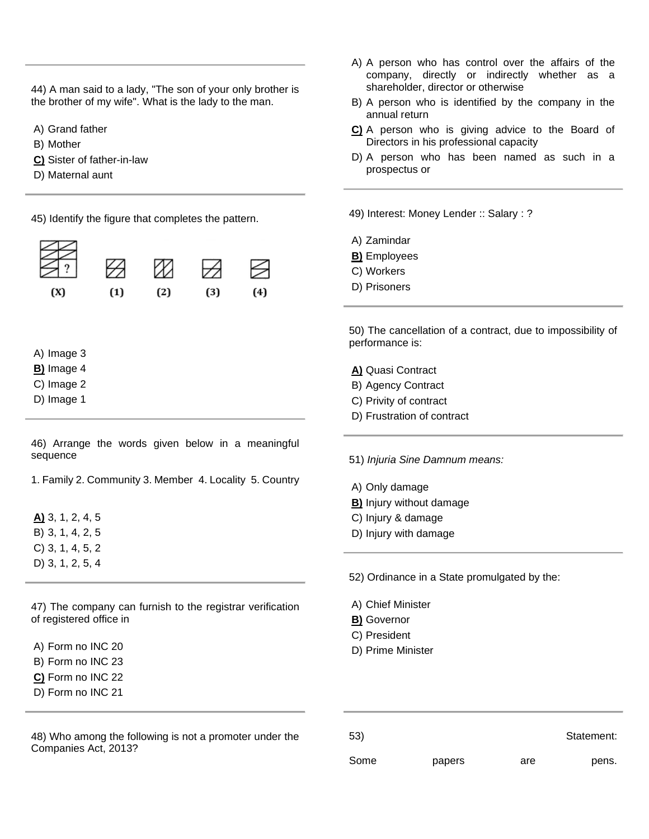44) A man said to a lady, "The son of your only brother is the brother of my wife". What is the lady to the man.

A) Grand father

B) Mother

**C)** Sister of father-in-law

D) Maternal aunt

45) Identify the figure that completes the pattern.



A) Image 3

- **B)** Image 4
- C) Image 2
- D) Image 1

46) Arrange the words given below in a meaningful sequence

1. Family 2. Community 3. Member 4. Locality 5. Country

**A)** 3, 1, 2, 4, 5 B) 3, 1, 4, 2, 5 C) 3, 1, 4, 5, 2 D) 3, 1, 2, 5, 4

47) The company can furnish to the registrar verification of registered office in

A) Form no INC 20

- B) Form no INC 23
- **C)** Form no INC 22
- D) Form no INC 21

48) Who among the following is not a promoter under the Companies Act, 2013?

- A) A person who has control over the affairs of the company, directly or indirectly whether as a shareholder, director or otherwise
- B) A person who is identified by the company in the annual return
- **C)** A person who is giving advice to the Board of Directors in his professional capacity
- D) A person who has been named as such in a prospectus or

49) Interest: Money Lender :: Salary : ?

- A) Zamindar
- **B)** Employees
- C) Workers
- D) Prisoners

50) The cancellation of a contract, due to impossibility of performance is:

**A)** Quasi Contract

- B) Agency Contract
- C) Privity of contract
- D) Frustration of contract

51) *Injuria Sine Damnum means:*

- A) Only damage
- **B)** Injury without damage
- C) Injury & damage
- D) Injury with damage

52) Ordinance in a State promulgated by the:

- A) Chief Minister
- **B)** Governor
- C) President
- D) Prime Minister

| 53)  |        |     | Statement: |
|------|--------|-----|------------|
| Some | papers | are | pens.      |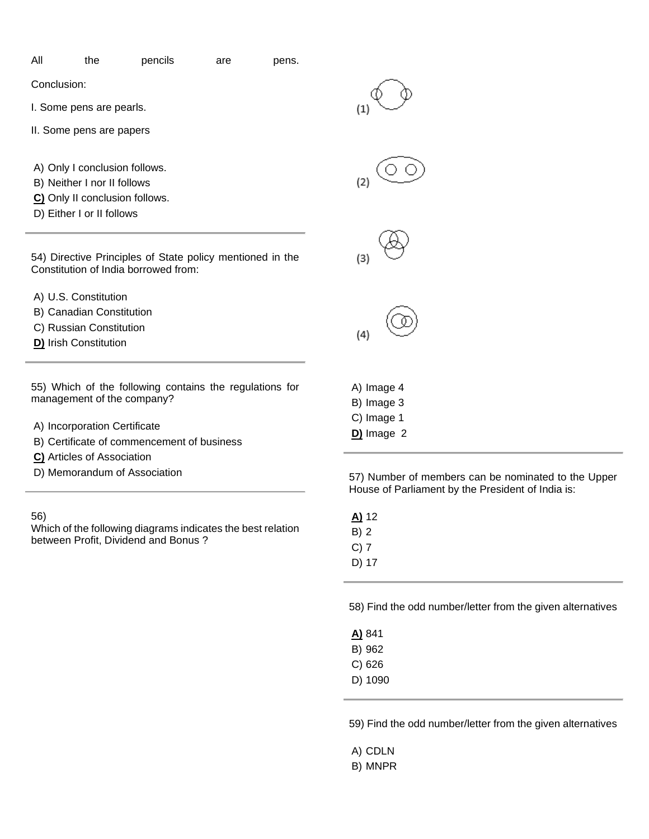| All | the | pencils | are | pens. |
|-----|-----|---------|-----|-------|

Conclusion:

I. Some pens are pearls.

- II. Some pens are papers
- A) Only I conclusion follows.
- B) Neither I nor II follows
- **C)** Only II conclusion follows.
- D) Either I or II follows

54) Directive Principles of State policy mentioned in the Constitution of India borrowed from:

- A) U.S. Constitution
- B) Canadian Constitution
- C) Russian Constitution
- **D)** Irish Constitution

55) Which of the following contains the regulations for management of the company?

- A) Incorporation Certificate
- B) Certificate of commencement of business
- **C)** Articles of Association
- D) Memorandum of Association

56)

Which of the following diagrams indicates the best relation between Profit, Dividend and Bonus ?





 $(4)$ 

A) Image 4

- B) Image 3
- C) Image 1
- **D)** Image 2

57) Number of members can be nominated to the Upper House of Parliament by the President of India is:

**A)** 12 B) 2 C) 7 D) 17

58) Find the odd number/letter from the given alternatives

| A) 841  |
|---------|
| B) 962  |
| C) 626  |
| D) 1090 |

59) Find the odd number/letter from the given alternatives

- A) CDLN
- B) MNPR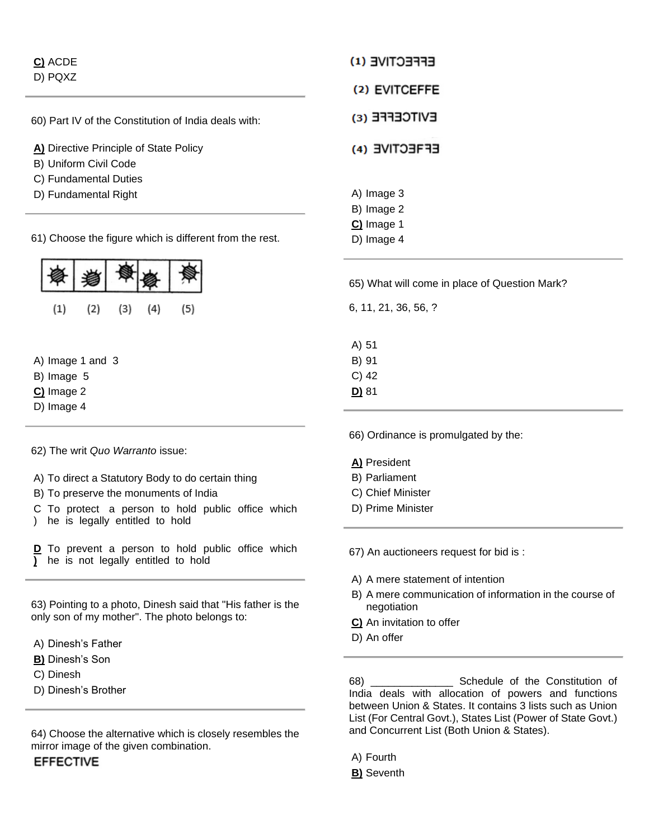| C) ACDE |
|---------|
| D) PQXZ |

60) Part IV of the Constitution of India deals with:

- **A)** Directive Principle of State Policy
- B) Uniform Civil Code
- C) Fundamental Duties
- D) Fundamental Right

61) Choose the figure which is different from the rest.



- A) Image 1 and 3
- B) Image 5
- **C)** Image 2
- D) Image 4

62) The writ *Quo Warranto* issue:

- A) To direct a Statutory Body to do certain thing
- B) To preserve the monuments of India
- C To protect a person to hold public office which
- ) he is legally entitled to hold

**D** To prevent a person to hold public office which **)**  he is not legally entitled to hold

63) Pointing to a photo, Dinesh said that "His father is the only son of my mother". The photo belongs to:

- A) Dinesh's Father
- **B)** Dinesh's Son
- C) Dinesh
- D) Dinesh's Brother

64) Choose the alternative which is closely resembles the mirror image of the given combination.

**EFFECTIVE** 

| EFFECTIVE (1)                          |
|----------------------------------------|
| (2) EVITCEFFE                          |
| EVITCEFFE (E)                          |
| EFRECTIVE (4)                          |
| A) Image 3<br>B) Image 2<br>C) Image 1 |

65) What will come in place of Question Mark?

6, 11, 21, 36, 56, ?

D) Image 4

A) 51 B) 91 C) 42 **D)** 81

66) Ordinance is promulgated by the:

### **A)** President

- B) Parliament
- C) Chief Minister
- D) Prime Minister

67) An auctioneers request for bid is :

- A) A mere statement of intention
- B) A mere communication of information in the course of negotiation
- **C)** An invitation to offer
- D) An offer

68) \_\_\_\_\_\_\_\_\_\_\_\_\_\_ Schedule of the Constitution of India deals with allocation of powers and functions between Union & States. It contains 3 lists such as Union List (For Central Govt.), States List (Power of State Govt.) and Concurrent List (Both Union & States).

A) Fourth

**B)** Seventh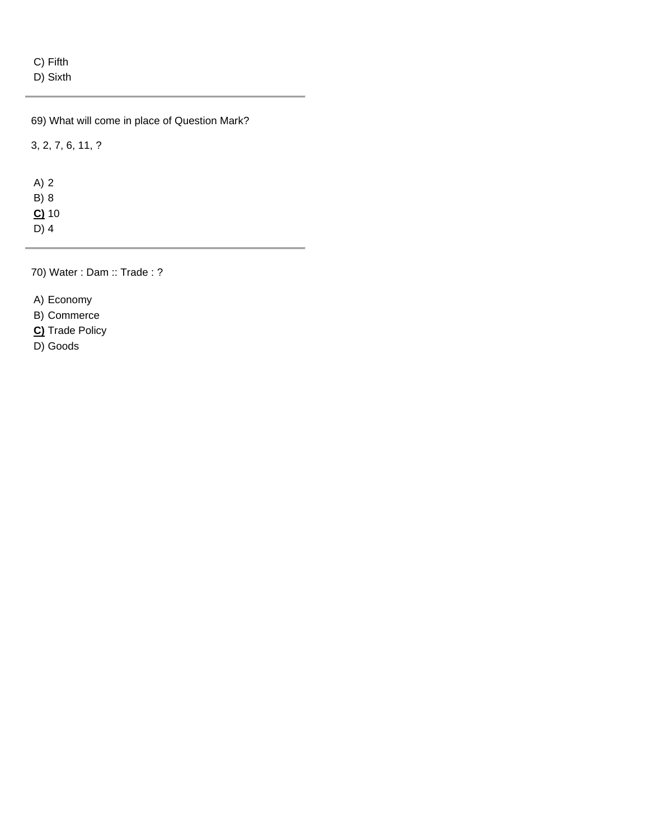C) Fifth

D) Sixth

69) What will come in place of Question Mark?

3, 2, 7, 6, 11, ?

A) 2 B) 8 **C)** 10 D) 4

70) Water : Dam :: Trade : ?

A) Economy

B) Commerce

**C)** Trade Policy

D) Goods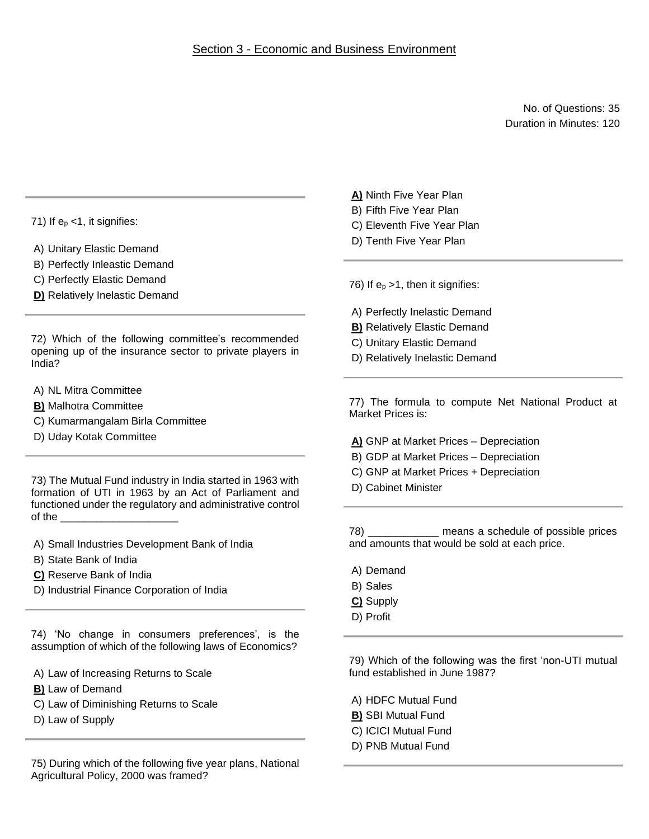No. of Questions: 35 Duration in Minutes: 120

71) If  $e_p < 1$ , it signifies:

- A) Unitary Elastic Demand
- B) Perfectly Inleastic Demand
- C) Perfectly Elastic Demand
- **D)** Relatively Inelastic Demand

72) Which of the following committee's recommended opening up of the insurance sector to private players in India?

- A) NL Mitra Committee
- **B)** Malhotra Committee
- C) Kumarmangalam Birla Committee
- D) Uday Kotak Committee

73) The Mutual Fund industry in India started in 1963 with formation of UTI in 1963 by an Act of Parliament and functioned under the regulatory and administrative control of the

- A) Small Industries Development Bank of India
- B) State Bank of India
- **C)** Reserve Bank of India
- D) Industrial Finance Corporation of India

74) 'No change in consumers preferences', is the assumption of which of the following laws of Economics?

- A) Law of Increasing Returns to Scale
- **B)** Law of Demand
- C) Law of Diminishing Returns to Scale
- D) Law of Supply

75) During which of the following five year plans, National Agricultural Policy, 2000 was framed?

- **A)** Ninth Five Year Plan
- B) Fifth Five Year Plan
- C) Eleventh Five Year Plan
- D) Tenth Five Year Plan

76) If  $e_p > 1$ , then it signifies:

- A) Perfectly Inelastic Demand
- **B)** Relatively Elastic Demand
- C) Unitary Elastic Demand
- D) Relatively Inelastic Demand

77) The formula to compute Net National Product at Market Prices is:

- **A)** GNP at Market Prices Depreciation
- B) GDP at Market Prices Depreciation
- C) GNP at Market Prices + Depreciation
- D) Cabinet Minister

78) \_\_\_\_\_\_\_\_\_\_\_\_ means a schedule of possible prices and amounts that would be sold at each price.

- A) Demand
- B) Sales
- **C)** Supply
- D) Profit

79) Which of the following was the first 'non-UTI mutual fund established in June 1987?

- A) HDFC Mutual Fund
- **B)** SBI Mutual Fund
- C) ICICI Mutual Fund
- D) PNB Mutual Fund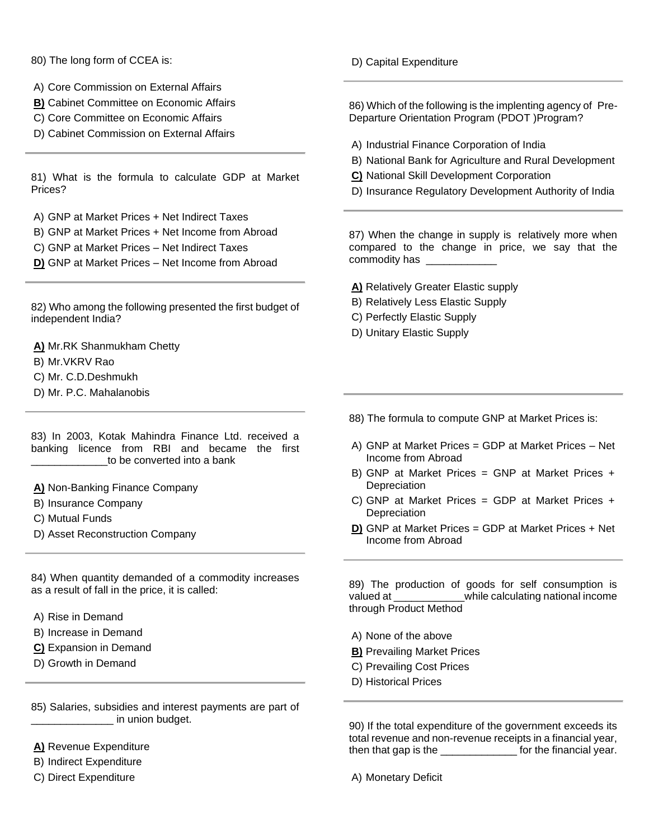80) The long form of CCEA is:

- A) Core Commission on External Affairs
- **B)** Cabinet Committee on Economic Affairs
- C) Core Committee on Economic Affairs
- D) Cabinet Commission on External Affairs

81) What is the formula to calculate GDP at Market Prices?

A) GNP at Market Prices + Net Indirect Taxes

- B) GNP at Market Prices + Net Income from Abroad
- C) GNP at Market Prices Net Indirect Taxes

**D)** GNP at Market Prices – Net Income from Abroad

82) Who among the following presented the first budget of independent India?

**A)** Mr.RK Shanmukham Chetty B) Mr.VKRV Rao C) Mr. C.D.Deshmukh

D) Mr. P.C. Mahalanobis

83) In 2003, Kotak Mahindra Finance Ltd. received a banking licence from RBI and became the first to be converted into a bank

**A)** Non-Banking Finance Company

- B) Insurance Company
- C) Mutual Funds
- D) Asset Reconstruction Company

84) When quantity demanded of a commodity increases as a result of fall in the price, it is called:

- A) Rise in Demand
- B) Increase in Demand
- **C)** Expansion in Demand
- D) Growth in Demand

85) Salaries, subsidies and interest payments are part of  $\blacksquare$  in union budget.

**A)** Revenue Expenditure

- B) Indirect Expenditure
- C) Direct Expenditure

D) Capital Expenditure

86) Which of the following is the implenting agency of Pre-Departure Orientation Program (PDOT )Program?

- A) Industrial Finance Corporation of India
- B) National Bank for Agriculture and Rural Development
- **C)** National Skill Development Corporation
- D) Insurance Regulatory Development Authority of India

87) When the change in supply is relatively more when compared to the change in price, we say that the commodity has

#### **A)** Relatively Greater Elastic supply

- B) Relatively Less Elastic Supply
- C) Perfectly Elastic Supply
- D) Unitary Elastic Supply

88) The formula to compute GNP at Market Prices is:

- A) GNP at Market Prices = GDP at Market Prices Net Income from Abroad
- B) GNP at Market Prices = GNP at Market Prices + Depreciation
- C) GNP at Market Prices = GDP at Market Prices + **Depreciation**
- **D)** GNP at Market Prices = GDP at Market Prices + Net Income from Abroad

89) The production of goods for self consumption is valued at  $\qquad \qquad$  while calculating national income through Product Method

A) None of the above

- **B)** Prevailing Market Prices
- C) Prevailing Cost Prices
- D) Historical Prices

90) If the total expenditure of the government exceeds its total revenue and non-revenue receipts in a financial year, then that gap is the \_\_\_\_\_\_\_\_\_\_\_\_\_ for the financial year.

A) Monetary Deficit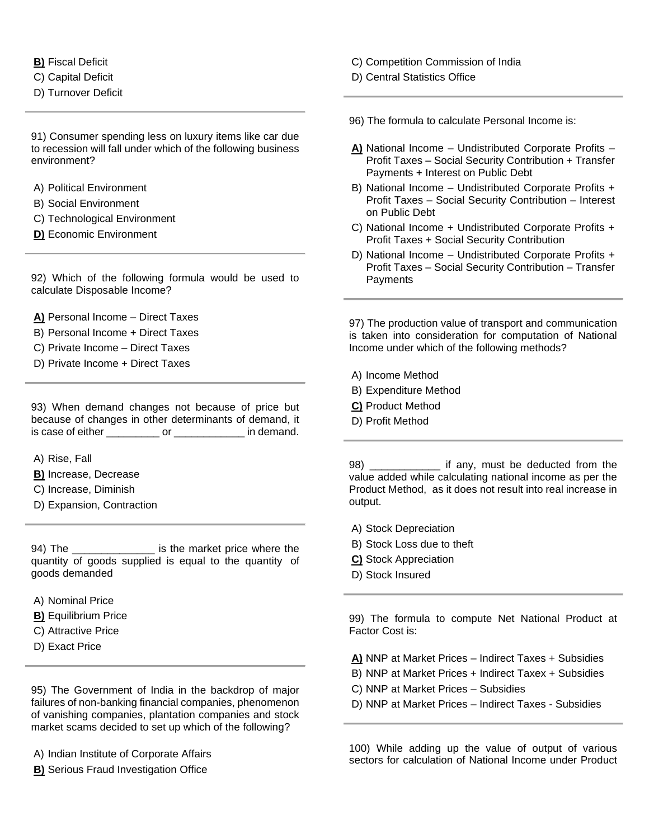**B)** Fiscal Deficit

C) Capital Deficit

D) Turnover Deficit

91) Consumer spending less on luxury items like car due to recession will fall under which of the following business environment?

- A) Political Environment
- B) Social Environment
- C) Technological Environment
- **D)** Economic Environment

92) Which of the following formula would be used to calculate Disposable Income?

**A)** Personal Income – Direct Taxes

- B) Personal Income + Direct Taxes
- C) Private Income Direct Taxes
- D) Private Income + Direct Taxes

93) When demand changes not because of price but because of changes in other determinants of demand, it is case of either \_\_\_\_\_\_\_\_\_ or \_\_\_\_\_\_\_\_\_\_\_\_ in demand.

- A) Rise, Fall
- **B)** Increase, Decrease
- C) Increase, Diminish
- D) Expansion, Contraction

94) The \_\_\_\_\_\_\_\_\_\_\_\_\_\_\_\_\_\_\_ is the market price where the quantity of goods supplied is equal to the quantity of goods demanded

- A) Nominal Price
- **B)** Equilibrium Price
- C) Attractive Price
- D) Exact Price

95) The Government of India in the backdrop of major failures of non-banking financial companies, phenomenon of vanishing companies, plantation companies and stock market scams decided to set up which of the following?

- A) Indian Institute of Corporate Affairs
- **B)** Serious Fraud Investigation Office
- C) Competition Commission of India
- D) Central Statistics Office
- 96) The formula to calculate Personal Income is:
- **A)** National Income Undistributed Corporate Profits Profit Taxes – Social Security Contribution + Transfer Payments + Interest on Public Debt
- B) National Income Undistributed Corporate Profits + Profit Taxes – Social Security Contribution – Interest on Public Debt
- C) National Income + Undistributed Corporate Profits + Profit Taxes + Social Security Contribution
- D) National Income Undistributed Corporate Profits + Profit Taxes – Social Security Contribution – Transfer Payments

97) The production value of transport and communication is taken into consideration for computation of National Income under which of the following methods?

- A) Income Method
- B) Expenditure Method
- **C)** Product Method
- D) Profit Method

98) \_\_\_\_\_\_\_\_\_\_\_\_\_\_ if any, must be deducted from the value added while calculating national income as per the Product Method, as it does not result into real increase in output.

- A) Stock Depreciation
- B) Stock Loss due to theft
- **C)** Stock Appreciation
- D) Stock Insured

99) The formula to compute Net National Product at Factor Cost is:

**A)** NNP at Market Prices – Indirect Taxes + Subsidies

- B) NNP at Market Prices + Indirect Taxex + Subsidies
- C) NNP at Market Prices Subsidies
- D) NNP at Market Prices Indirect Taxes Subsidies

100) While adding up the value of output of various sectors for calculation of National Income under Product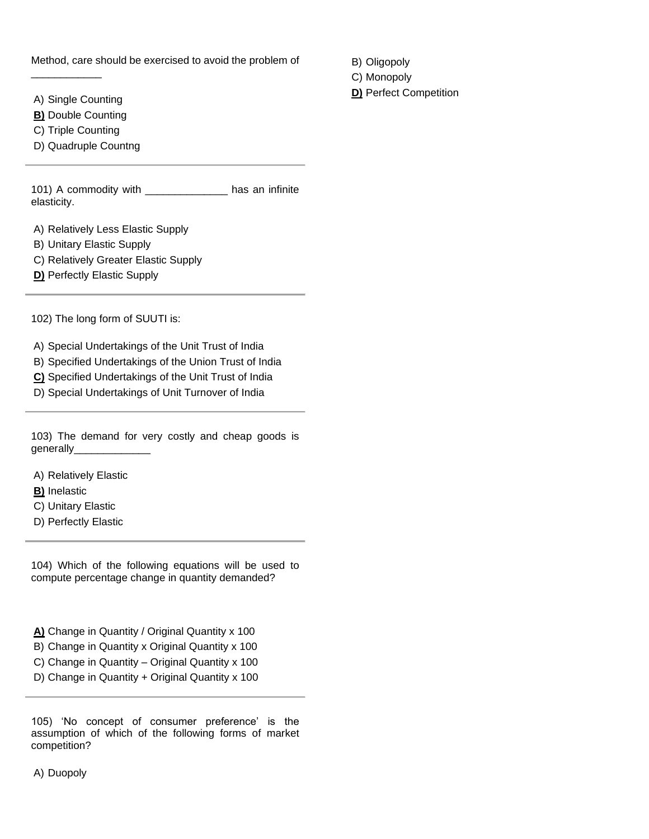Method, care should be exercised to avoid the problem of

A) Single Counting

\_\_\_\_\_\_\_\_\_\_\_\_

**B)** Double Counting

C) Triple Counting

D) Quadruple Countng

101) A commodity with has an infinite elasticity.

- A) Relatively Less Elastic Supply
- B) Unitary Elastic Supply
- C) Relatively Greater Elastic Supply
- **D)** Perfectly Elastic Supply

102) The long form of SUUTI is:

A) Special Undertakings of the Unit Trust of India

B) Specified Undertakings of the Union Trust of India

**C)** Specified Undertakings of the Unit Trust of India

D) Special Undertakings of Unit Turnover of India

103) The demand for very costly and cheap goods is generally\_\_\_\_\_\_\_\_\_\_\_\_\_

A) Relatively Elastic

**B)** Inelastic

- C) Unitary Elastic
- D) Perfectly Elastic

104) Which of the following equations will be used to compute percentage change in quantity demanded?

**A)** Change in Quantity / Original Quantity x 100

B) Change in Quantity x Original Quantity x 100 C) Change in Quantity – Original Quantity x 100

D) Change in Quantity + Original Quantity x 100

105) 'No concept of consumer preference' is the assumption of which of the following forms of market competition?

A) Duopoly

B) Oligopoly

C) Monopoly

**D)** Perfect Competition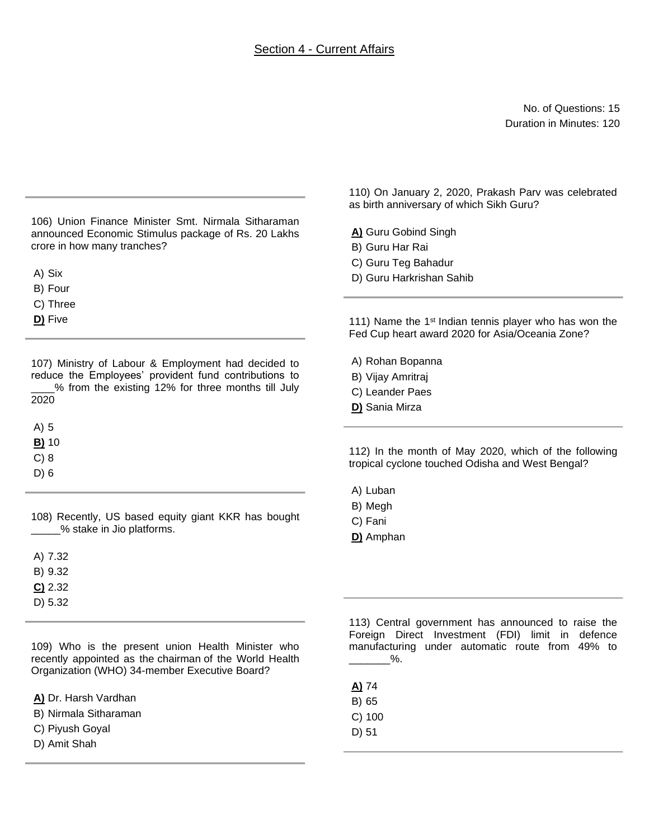## Section 4 - Current Affairs

No. of Questions: 15 Duration in Minutes: 120

106) Union Finance Minister Smt. Nirmala Sitharaman announced Economic Stimulus package of Rs. 20 Lakhs crore in how many tranches?

A) Six

B) Four

C) Three

**D)** Five

107) Ministry of Labour & Employment had decided to reduce the Employees' provident fund contributions to \_\_\_\_% from the existing 12% for three months till July 2020

A) 5

**B)** 10

C) 8

D) 6

108) Recently, US based equity giant KKR has bought \_\_\_\_\_% stake in Jio platforms.

A) 7.32 B) 9.32 **C)** 2.32

D) 5.32

109) Who is the present union Health Minister who recently appointed as the chairman of the World Health Organization (WHO) 34-member Executive Board?

**A)** Dr. Harsh Vardhan

B) Nirmala Sitharaman

C) Piyush Goyal

D) Amit Shah

110) On January 2, 2020, Prakash Parv was celebrated as birth anniversary of which Sikh Guru?

**A)** Guru Gobind Singh

- B) Guru Har Rai
- C) Guru Teg Bahadur
- D) Guru Harkrishan Sahib

111) Name the 1<sup>st</sup> Indian tennis player who has won the Fed Cup heart award 2020 for Asia/Oceania Zone?

A) Rohan Bopanna

- B) Vijay Amritraj
- C) Leander Paes
- **D)** Sania Mirza

112) In the month of May 2020, which of the following tropical cyclone touched Odisha and West Bengal?

- A) Luban
- B) Megh
- C) Fani
- **D)** Amphan

113) Central government has announced to raise the Foreign Direct Investment (FDI) limit in defence manufacturing under automatic route from 49% to  $\%$ .

- **A)** 74
- B) 65
- C) 100
- D) 51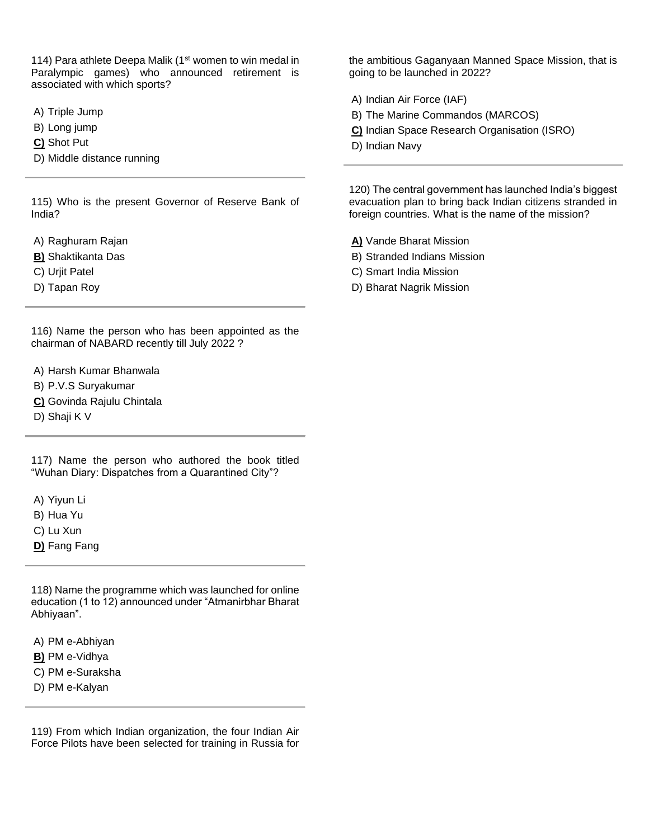114) Para athlete Deepa Malik (1<sup>st</sup> women to win medal in Paralympic games) who announced retirement is associated with which sports?

A) Triple Jump

B) Long jump

**C)** Shot Put

D) Middle distance running

115) Who is the present Governor of Reserve Bank of India?

A) Raghuram Rajan

- **B)** Shaktikanta Das
- C) Urjit Patel
- D) Tapan Roy

116) Name the person who has been appointed as the chairman of NABARD recently till July 2022 ?

- A) Harsh Kumar Bhanwala
- B) P.V.S Suryakumar
- **C)** Govinda Rajulu Chintala
- D) Shaji K V

117) Name the person who authored the book titled "Wuhan Diary: Dispatches from a Quarantined City"?

A) Yiyun Li

- B) Hua Yu
- C) Lu Xun
- **D)** Fang Fang

118) Name the programme which was launched for online education (1 to 12) announced under "Atmanirbhar Bharat Abhiyaan".

A) PM e-Abhiyan

- **B)** PM e-Vidhya
- C) PM e-Suraksha
- D) PM e-Kalyan

119) From which Indian organization, the four Indian Air Force Pilots have been selected for training in Russia for

the ambitious Gaganyaan Manned Space Mission, that is going to be launched in 2022?

- A) Indian Air Force (IAF)
- B) The Marine Commandos (MARCOS)
- **C)** Indian Space Research Organisation (ISRO)
- D) Indian Navy

120) The central government has launched India's biggest evacuation plan to bring back Indian citizens stranded in foreign countries. What is the name of the mission?

**A)** Vande Bharat Mission

- B) Stranded Indians Mission
- C) Smart India Mission
- D) Bharat Nagrik Mission